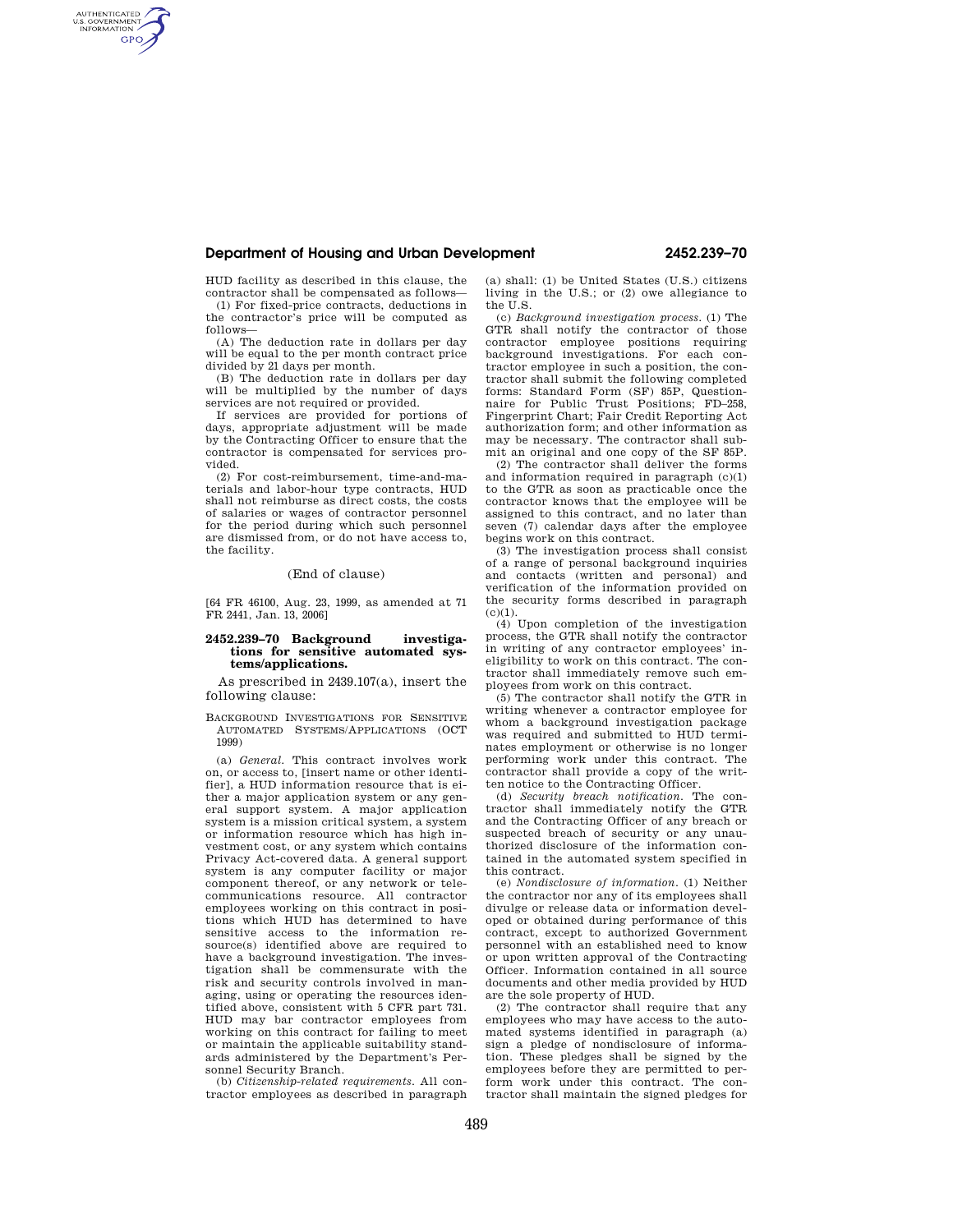# **Department of Housing and Urban Development 2452.239–70**

HUD facility as described in this clause, the contractor shall be compensated as follows—

AUTHENTICATED<br>U.S. GOVERNMENT<br>INFORMATION **GPO** 

> (1) For fixed-price contracts, deductions in the contractor's price will be computed as follows—

> (A) The deduction rate in dollars per day will be equal to the per month contract price divided by 21 days per month.

> (B) The deduction rate in dollars per day will be multiplied by the number of days services are not required or provided.

> If services are provided for portions of days, appropriate adjustment will be made by the Contracting Officer to ensure that the contractor is compensated for services provided.

> (2) For cost-reimbursement, time-and-materials and labor-hour type contracts, HUD shall not reimburse as direct costs, the costs of salaries or wages of contractor personnel for the period during which such personnel are dismissed from, or do not have access to, the facility.

## (End of clause)

[64 FR 46100, Aug. 23, 1999, as amended at 71 FR 2441, Jan. 13, 2006]

# **2452.239–70 Background investigations for sensitive automated systems/applications.**

As prescribed in 2439.107(a), insert the following clause:

BACKGROUND INVESTIGATIONS FOR SENSITIVE AUTOMATED SYSTEMS/APPLICATIONS (OCT 1999)

(a) *General.* This contract involves work on, or access to, [insert name or other identifier], a HUD information resource that is either a major application system or any general support system. A major application system is a mission critical system, a system or information resource which has high investment cost, or any system which contains Privacy Act-covered data. A general support system is any computer facility or major component thereof, or any network or telecommunications resource. All contractor employees working on this contract in positions which HUD has determined to have sensitive access to the information resource(s) identified above are required to have a background investigation. The investigation shall be commensurate with the risk and security controls involved in managing, using or operating the resources identified above, consistent with 5 CFR part 731. HUD may bar contractor employees from working on this contract for failing to meet or maintain the applicable suitability standards administered by the Department's Personnel Security Branch.

(b) *Citizenship-related requirements.* All contractor employees as described in paragraph

(a) shall: (1) be United States (U.S.) citizens living in the U.S.; or (2) owe allegiance to the U.S.

(c) *Background investigation process.* (1) The GTR shall notify the contractor of those contractor employee positions requiring background investigations. For each contractor employee in such a position, the contractor shall submit the following completed forms: Standard Form (SF) 85P, Questionnaire for Public Trust Positions; FD–258, Fingerprint Chart; Fair Credit Reporting Act authorization form; and other information as may be necessary. The contractor shall submit an original and one copy of the SF 85P.

(2) The contractor shall deliver the forms and information required in paragraph (c)(1) to the GTR as soon as practicable once the contractor knows that the employee will be assigned to this contract, and no later than seven (7) calendar days after the employee begins work on this contract.

(3) The investigation process shall consist of a range of personal background inquiries and contacts (written and personal) and verification of the information provided on the security forms described in paragraph  $(c)(1)$ .

(4) Upon completion of the investigation process, the GTR shall notify the contractor in writing of any contractor employees' ineligibility to work on this contract. The contractor shall immediately remove such employees from work on this contract.

(5) The contractor shall notify the GTR in writing whenever a contractor employee for whom a background investigation package was required and submitted to HUD terminates employment or otherwise is no longer performing work under this contract. The contractor shall provide a copy of the written notice to the Contracting Officer.

(d) *Security breach notification.* The contractor shall immediately notify the GTR and the Contracting Officer of any breach or suspected breach of security or any unauthorized disclosure of the information contained in the automated system specified in this contract.

(e) *Nondisclosure of information.* (1) Neither the contractor nor any of its employees shall divulge or release data or information developed or obtained during performance of this contract, except to authorized Government personnel with an established need to know or upon written approval of the Contracting Officer. Information contained in all source documents and other media provided by HUD are the sole property of HUD.

(2) The contractor shall require that any employees who may have access to the automated systems identified in paragraph (a) sign a pledge of nondisclosure of information. These pledges shall be signed by the employees before they are permitted to perform work under this contract. The contractor shall maintain the signed pledges for